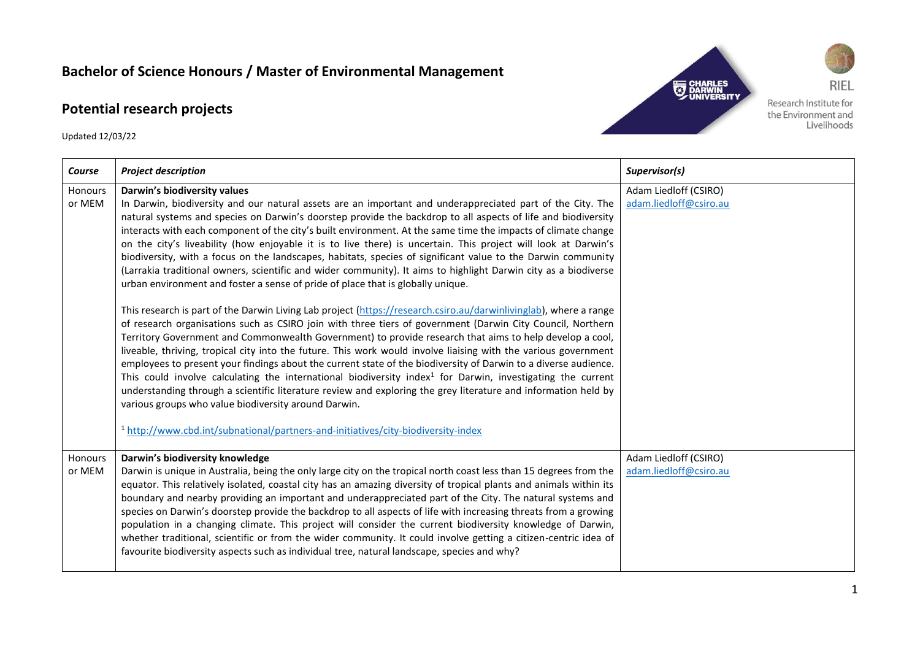## **Bachelor of Science Honours / Master of Environmental Management**

## **Potential research projects**

Updated 12/03/22



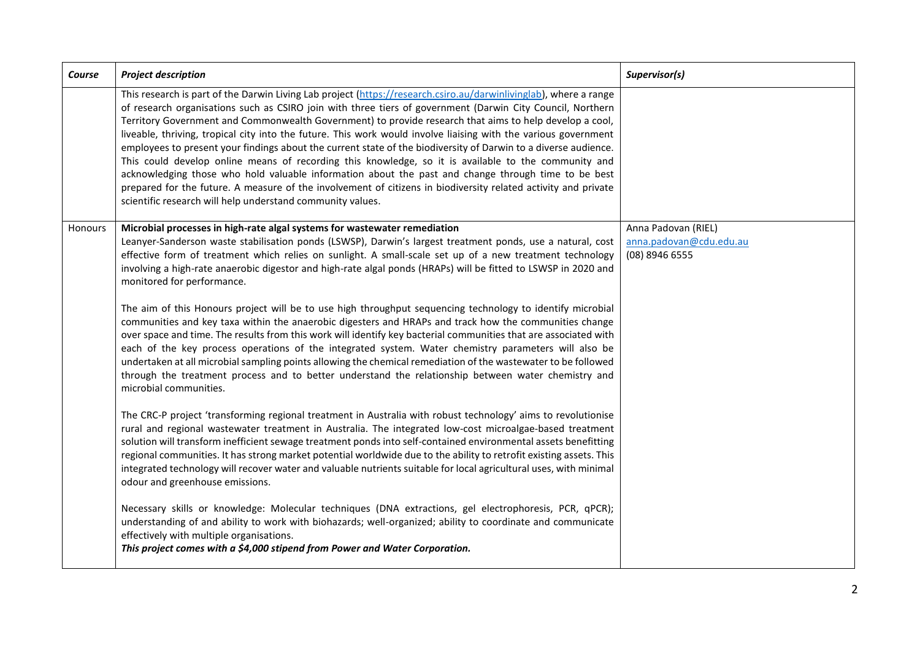| Course         | <b>Project description</b>                                                                                                                                                                                                                                                                                                                                                                                                                                                                                                                                                                                                                                                                                                                                                                                                                                                                                                                                                      | Supervisor(s)                                                    |
|----------------|---------------------------------------------------------------------------------------------------------------------------------------------------------------------------------------------------------------------------------------------------------------------------------------------------------------------------------------------------------------------------------------------------------------------------------------------------------------------------------------------------------------------------------------------------------------------------------------------------------------------------------------------------------------------------------------------------------------------------------------------------------------------------------------------------------------------------------------------------------------------------------------------------------------------------------------------------------------------------------|------------------------------------------------------------------|
|                | This research is part of the Darwin Living Lab project (https://research.csiro.au/darwinlivinglab), where a range<br>of research organisations such as CSIRO join with three tiers of government (Darwin City Council, Northern<br>Territory Government and Commonwealth Government) to provide research that aims to help develop a cool,<br>liveable, thriving, tropical city into the future. This work would involve liaising with the various government<br>employees to present your findings about the current state of the biodiversity of Darwin to a diverse audience.<br>This could develop online means of recording this knowledge, so it is available to the community and<br>acknowledging those who hold valuable information about the past and change through time to be best<br>prepared for the future. A measure of the involvement of citizens in biodiversity related activity and private<br>scientific research will help understand community values. |                                                                  |
| <b>Honours</b> | Microbial processes in high-rate algal systems for wastewater remediation<br>Leanyer-Sanderson waste stabilisation ponds (LSWSP), Darwin's largest treatment ponds, use a natural, cost<br>effective form of treatment which relies on sunlight. A small-scale set up of a new treatment technology<br>involving a high-rate anaerobic digestor and high-rate algal ponds (HRAPs) will be fitted to LSWSP in 2020 and<br>monitored for performance.                                                                                                                                                                                                                                                                                                                                                                                                                                                                                                                             | Anna Padovan (RIEL)<br>anna.padovan@cdu.edu.au<br>(08) 8946 6555 |
|                | The aim of this Honours project will be to use high throughput sequencing technology to identify microbial<br>communities and key taxa within the anaerobic digesters and HRAPs and track how the communities change<br>over space and time. The results from this work will identify key bacterial communities that are associated with<br>each of the key process operations of the integrated system. Water chemistry parameters will also be<br>undertaken at all microbial sampling points allowing the chemical remediation of the wastewater to be followed<br>through the treatment process and to better understand the relationship between water chemistry and<br>microbial communities.                                                                                                                                                                                                                                                                             |                                                                  |
|                | The CRC-P project 'transforming regional treatment in Australia with robust technology' aims to revolutionise<br>rural and regional wastewater treatment in Australia. The integrated low-cost microalgae-based treatment<br>solution will transform inefficient sewage treatment ponds into self-contained environmental assets benefitting<br>regional communities. It has strong market potential worldwide due to the ability to retrofit existing assets. This<br>integrated technology will recover water and valuable nutrients suitable for local agricultural uses, with minimal<br>odour and greenhouse emissions.                                                                                                                                                                                                                                                                                                                                                    |                                                                  |
|                | Necessary skills or knowledge: Molecular techniques (DNA extractions, gel electrophoresis, PCR, qPCR);<br>understanding of and ability to work with biohazards; well-organized; ability to coordinate and communicate<br>effectively with multiple organisations.<br>This project comes with a \$4,000 stipend from Power and Water Corporation.                                                                                                                                                                                                                                                                                                                                                                                                                                                                                                                                                                                                                                |                                                                  |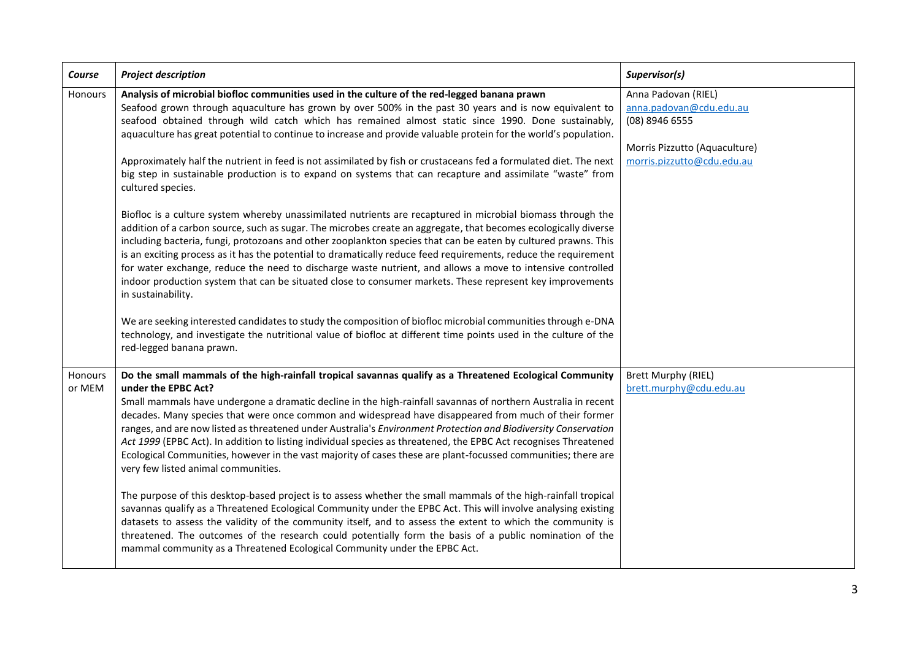| Course            | <b>Project description</b>                                                                                                                                                                                                                                                                                                                                                                                                                                                                                                                                                                                                                                                                                                                                                                                                                                                                                                                                                                                                                                                                                                                                                                                                                                                                                                                                                                                      | Supervisor(s)                                                                                                                   |
|-------------------|-----------------------------------------------------------------------------------------------------------------------------------------------------------------------------------------------------------------------------------------------------------------------------------------------------------------------------------------------------------------------------------------------------------------------------------------------------------------------------------------------------------------------------------------------------------------------------------------------------------------------------------------------------------------------------------------------------------------------------------------------------------------------------------------------------------------------------------------------------------------------------------------------------------------------------------------------------------------------------------------------------------------------------------------------------------------------------------------------------------------------------------------------------------------------------------------------------------------------------------------------------------------------------------------------------------------------------------------------------------------------------------------------------------------|---------------------------------------------------------------------------------------------------------------------------------|
| Honours           | Analysis of microbial biofloc communities used in the culture of the red-legged banana prawn<br>Seafood grown through aquaculture has grown by over 500% in the past 30 years and is now equivalent to<br>seafood obtained through wild catch which has remained almost static since 1990. Done sustainably,<br>aquaculture has great potential to continue to increase and provide valuable protein for the world's population.<br>Approximately half the nutrient in feed is not assimilated by fish or crustaceans fed a formulated diet. The next<br>big step in sustainable production is to expand on systems that can recapture and assimilate "waste" from<br>cultured species.<br>Biofloc is a culture system whereby unassimilated nutrients are recaptured in microbial biomass through the<br>addition of a carbon source, such as sugar. The microbes create an aggregate, that becomes ecologically diverse<br>including bacteria, fungi, protozoans and other zooplankton species that can be eaten by cultured prawns. This<br>is an exciting process as it has the potential to dramatically reduce feed requirements, reduce the requirement<br>for water exchange, reduce the need to discharge waste nutrient, and allows a move to intensive controlled<br>indoor production system that can be situated close to consumer markets. These represent key improvements<br>in sustainability. | Anna Padovan (RIEL)<br>anna.padovan@cdu.edu.au<br>(08) 8946 6555<br>Morris Pizzutto (Aquaculture)<br>morris.pizzutto@cdu.edu.au |
|                   | We are seeking interested candidates to study the composition of biofloc microbial communities through e-DNA<br>technology, and investigate the nutritional value of biofloc at different time points used in the culture of the<br>red-legged banana prawn.                                                                                                                                                                                                                                                                                                                                                                                                                                                                                                                                                                                                                                                                                                                                                                                                                                                                                                                                                                                                                                                                                                                                                    |                                                                                                                                 |
| Honours<br>or MEM | Do the small mammals of the high-rainfall tropical savannas qualify as a Threatened Ecological Community<br>under the EPBC Act?<br>Small mammals have undergone a dramatic decline in the high-rainfall savannas of northern Australia in recent<br>decades. Many species that were once common and widespread have disappeared from much of their former<br>ranges, and are now listed as threatened under Australia's Environment Protection and Biodiversity Conservation<br>Act 1999 (EPBC Act). In addition to listing individual species as threatened, the EPBC Act recognises Threatened<br>Ecological Communities, however in the vast majority of cases these are plant-focussed communities; there are<br>very few listed animal communities.<br>The purpose of this desktop-based project is to assess whether the small mammals of the high-rainfall tropical<br>savannas qualify as a Threatened Ecological Community under the EPBC Act. This will involve analysing existing<br>datasets to assess the validity of the community itself, and to assess the extent to which the community is<br>threatened. The outcomes of the research could potentially form the basis of a public nomination of the<br>mammal community as a Threatened Ecological Community under the EPBC Act.                                                                                                             | <b>Brett Murphy (RIEL)</b><br>brett.murphy@cdu.edu.au                                                                           |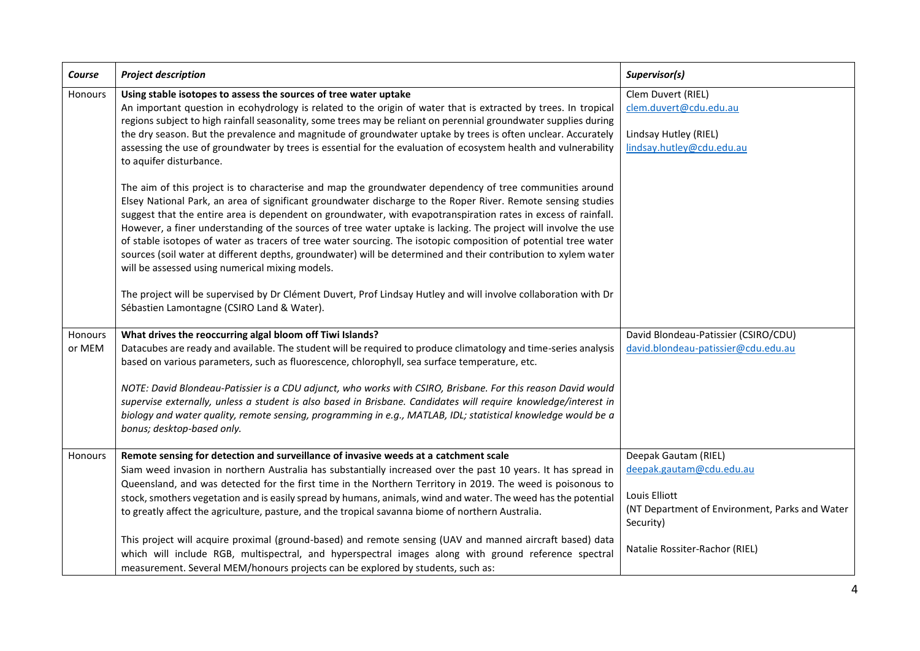| Course            | <b>Project description</b>                                                                                                                                                                                                                                                                                                                                                                                                                                                                                                                                                                                                                                                                                                                                                                                                                                                                                                                                                                                                                                                                                                                                                                                                                                                                                                     | Supervisor(s)                                                                                                                                                      |
|-------------------|--------------------------------------------------------------------------------------------------------------------------------------------------------------------------------------------------------------------------------------------------------------------------------------------------------------------------------------------------------------------------------------------------------------------------------------------------------------------------------------------------------------------------------------------------------------------------------------------------------------------------------------------------------------------------------------------------------------------------------------------------------------------------------------------------------------------------------------------------------------------------------------------------------------------------------------------------------------------------------------------------------------------------------------------------------------------------------------------------------------------------------------------------------------------------------------------------------------------------------------------------------------------------------------------------------------------------------|--------------------------------------------------------------------------------------------------------------------------------------------------------------------|
| Honours           | Using stable isotopes to assess the sources of tree water uptake<br>An important question in ecohydrology is related to the origin of water that is extracted by trees. In tropical<br>regions subject to high rainfall seasonality, some trees may be reliant on perennial groundwater supplies during<br>the dry season. But the prevalence and magnitude of groundwater uptake by trees is often unclear. Accurately<br>assessing the use of groundwater by trees is essential for the evaluation of ecosystem health and vulnerability<br>to aquifer disturbance.<br>The aim of this project is to characterise and map the groundwater dependency of tree communities around<br>Elsey National Park, an area of significant groundwater discharge to the Roper River. Remote sensing studies<br>suggest that the entire area is dependent on groundwater, with evapotranspiration rates in excess of rainfall.<br>However, a finer understanding of the sources of tree water uptake is lacking. The project will involve the use<br>of stable isotopes of water as tracers of tree water sourcing. The isotopic composition of potential tree water<br>sources (soil water at different depths, groundwater) will be determined and their contribution to xylem water<br>will be assessed using numerical mixing models. | Clem Duvert (RIEL)<br>clem.duvert@cdu.edu.au<br>Lindsay Hutley (RIEL)<br>lindsay.hutley@cdu.edu.au                                                                 |
|                   | The project will be supervised by Dr Clément Duvert, Prof Lindsay Hutley and will involve collaboration with Dr<br>Sébastien Lamontagne (CSIRO Land & Water).                                                                                                                                                                                                                                                                                                                                                                                                                                                                                                                                                                                                                                                                                                                                                                                                                                                                                                                                                                                                                                                                                                                                                                  |                                                                                                                                                                    |
| Honours<br>or MEM | What drives the reoccurring algal bloom off Tiwi Islands?<br>Datacubes are ready and available. The student will be required to produce climatology and time-series analysis<br>based on various parameters, such as fluorescence, chlorophyll, sea surface temperature, etc.<br>NOTE: David Blondeau-Patissier is a CDU adjunct, who works with CSIRO, Brisbane. For this reason David would<br>supervise externally, unless a student is also based in Brisbane. Candidates will require knowledge/interest in<br>biology and water quality, remote sensing, programming in e.g., MATLAB, IDL; statistical knowledge would be a<br>bonus; desktop-based only.                                                                                                                                                                                                                                                                                                                                                                                                                                                                                                                                                                                                                                                                | David Blondeau-Patissier (CSIRO/CDU)<br>david.blondeau-patissier@cdu.edu.au                                                                                        |
| Honours           | Remote sensing for detection and surveillance of invasive weeds at a catchment scale<br>Siam weed invasion in northern Australia has substantially increased over the past 10 years. It has spread in<br>Queensland, and was detected for the first time in the Northern Territory in 2019. The weed is poisonous to<br>stock, smothers vegetation and is easily spread by humans, animals, wind and water. The weed has the potential<br>to greatly affect the agriculture, pasture, and the tropical savanna biome of northern Australia.<br>This project will acquire proximal (ground-based) and remote sensing (UAV and manned aircraft based) data<br>which will include RGB, multispectral, and hyperspectral images along with ground reference spectral<br>measurement. Several MEM/honours projects can be explored by students, such as:                                                                                                                                                                                                                                                                                                                                                                                                                                                                            | Deepak Gautam (RIEL)<br>deepak.gautam@cdu.edu.au<br>Louis Elliott<br>(NT Department of Environment, Parks and Water<br>Security)<br>Natalie Rossiter-Rachor (RIEL) |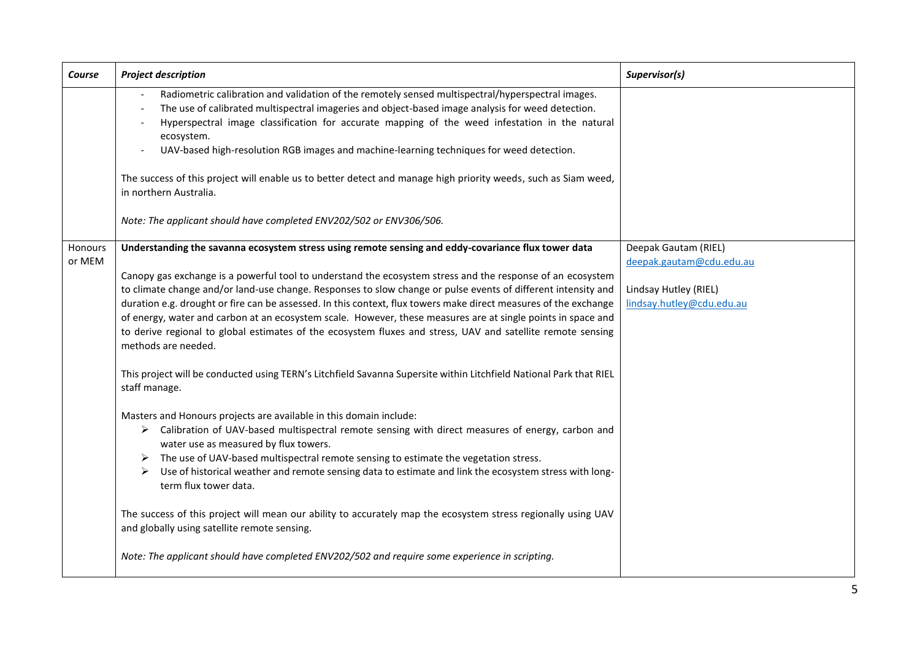| Course  | <b>Project description</b>                                                                                                                                                                                                                                                                                                                                                                                                                                                                                                                                                                                                                                                                                                                   | Supervisor(s)                                                                  |
|---------|----------------------------------------------------------------------------------------------------------------------------------------------------------------------------------------------------------------------------------------------------------------------------------------------------------------------------------------------------------------------------------------------------------------------------------------------------------------------------------------------------------------------------------------------------------------------------------------------------------------------------------------------------------------------------------------------------------------------------------------------|--------------------------------------------------------------------------------|
|         | Radiometric calibration and validation of the remotely sensed multispectral/hyperspectral images.<br>The use of calibrated multispectral imageries and object-based image analysis for weed detection.<br>Hyperspectral image classification for accurate mapping of the weed infestation in the natural<br>ecosystem.<br>UAV-based high-resolution RGB images and machine-learning techniques for weed detection.<br>The success of this project will enable us to better detect and manage high priority weeds, such as Siam weed,<br>in northern Australia.<br>Note: The applicant should have completed ENV202/502 or ENV306/506.                                                                                                        |                                                                                |
| Honours | Understanding the savanna ecosystem stress using remote sensing and eddy-covariance flux tower data                                                                                                                                                                                                                                                                                                                                                                                                                                                                                                                                                                                                                                          | Deepak Gautam (RIEL)                                                           |
| or MEM  | Canopy gas exchange is a powerful tool to understand the ecosystem stress and the response of an ecosystem<br>to climate change and/or land-use change. Responses to slow change or pulse events of different intensity and<br>duration e.g. drought or fire can be assessed. In this context, flux towers make direct measures of the exchange<br>of energy, water and carbon at an ecosystem scale. However, these measures are at single points in space and<br>to derive regional to global estimates of the ecosystem fluxes and stress, UAV and satellite remote sensing<br>methods are needed.<br>This project will be conducted using TERN's Litchfield Savanna Supersite within Litchfield National Park that RIEL<br>staff manage. | deepak.gautam@cdu.edu.au<br>Lindsay Hutley (RIEL)<br>lindsay.hutley@cdu.edu.au |
|         | Masters and Honours projects are available in this domain include:<br>> Calibration of UAV-based multispectral remote sensing with direct measures of energy, carbon and<br>water use as measured by flux towers.<br>The use of UAV-based multispectral remote sensing to estimate the vegetation stress.<br>➤<br>Use of historical weather and remote sensing data to estimate and link the ecosystem stress with long-<br>➤<br>term flux tower data.                                                                                                                                                                                                                                                                                       |                                                                                |
|         | The success of this project will mean our ability to accurately map the ecosystem stress regionally using UAV<br>and globally using satellite remote sensing.                                                                                                                                                                                                                                                                                                                                                                                                                                                                                                                                                                                |                                                                                |
|         | Note: The applicant should have completed ENV202/502 and require some experience in scripting.                                                                                                                                                                                                                                                                                                                                                                                                                                                                                                                                                                                                                                               |                                                                                |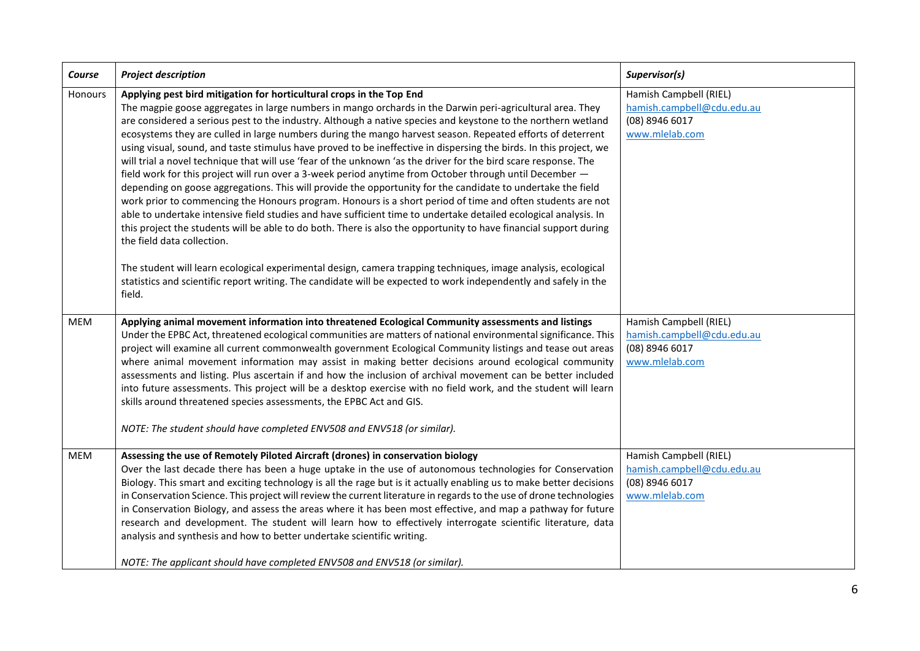| Course     | <b>Project description</b>                                                                                                                                                                                                                                                                                                                                                                                                                                                                                                                                                                                                                                                                                                                                                                                                                                                                                                                                                                                                                                                                                                                                                                                                                                                                                                                                                                                                                                                                                    | Supervisor(s)                                                                            |
|------------|---------------------------------------------------------------------------------------------------------------------------------------------------------------------------------------------------------------------------------------------------------------------------------------------------------------------------------------------------------------------------------------------------------------------------------------------------------------------------------------------------------------------------------------------------------------------------------------------------------------------------------------------------------------------------------------------------------------------------------------------------------------------------------------------------------------------------------------------------------------------------------------------------------------------------------------------------------------------------------------------------------------------------------------------------------------------------------------------------------------------------------------------------------------------------------------------------------------------------------------------------------------------------------------------------------------------------------------------------------------------------------------------------------------------------------------------------------------------------------------------------------------|------------------------------------------------------------------------------------------|
| Honours    | Applying pest bird mitigation for horticultural crops in the Top End<br>The magpie goose aggregates in large numbers in mango orchards in the Darwin peri-agricultural area. They<br>are considered a serious pest to the industry. Although a native species and keystone to the northern wetland<br>ecosystems they are culled in large numbers during the mango harvest season. Repeated efforts of deterrent<br>using visual, sound, and taste stimulus have proved to be ineffective in dispersing the birds. In this project, we<br>will trial a novel technique that will use 'fear of the unknown 'as the driver for the bird scare response. The<br>field work for this project will run over a 3-week period anytime from October through until December -<br>depending on goose aggregations. This will provide the opportunity for the candidate to undertake the field<br>work prior to commencing the Honours program. Honours is a short period of time and often students are not<br>able to undertake intensive field studies and have sufficient time to undertake detailed ecological analysis. In<br>this project the students will be able to do both. There is also the opportunity to have financial support during<br>the field data collection.<br>The student will learn ecological experimental design, camera trapping techniques, image analysis, ecological<br>statistics and scientific report writing. The candidate will be expected to work independently and safely in the | Hamish Campbell (RIEL)<br>hamish.campbell@cdu.edu.au<br>(08) 8946 6017<br>www.mlelab.com |
|            | field.                                                                                                                                                                                                                                                                                                                                                                                                                                                                                                                                                                                                                                                                                                                                                                                                                                                                                                                                                                                                                                                                                                                                                                                                                                                                                                                                                                                                                                                                                                        |                                                                                          |
| <b>MEM</b> | Applying animal movement information into threatened Ecological Community assessments and listings<br>Under the EPBC Act, threatened ecological communities are matters of national environmental significance. This<br>project will examine all current commonwealth government Ecological Community listings and tease out areas<br>where animal movement information may assist in making better decisions around ecological community<br>assessments and listing. Plus ascertain if and how the inclusion of archival movement can be better included<br>into future assessments. This project will be a desktop exercise with no field work, and the student will learn<br>skills around threatened species assessments, the EPBC Act and GIS.<br>NOTE: The student should have completed ENV508 and ENV518 (or similar).                                                                                                                                                                                                                                                                                                                                                                                                                                                                                                                                                                                                                                                                                | Hamish Campbell (RIEL)<br>hamish.campbell@cdu.edu.au<br>(08) 8946 6017<br>www.mlelab.com |
| <b>MEM</b> | Assessing the use of Remotely Piloted Aircraft (drones) in conservation biology<br>Over the last decade there has been a huge uptake in the use of autonomous technologies for Conservation<br>Biology. This smart and exciting technology is all the rage but is it actually enabling us to make better decisions<br>in Conservation Science. This project will review the current literature in regards to the use of drone technologies<br>in Conservation Biology, and assess the areas where it has been most effective, and map a pathway for future<br>research and development. The student will learn how to effectively interrogate scientific literature, data<br>analysis and synthesis and how to better undertake scientific writing.<br>NOTE: The applicant should have completed ENV508 and ENV518 (or similar).                                                                                                                                                                                                                                                                                                                                                                                                                                                                                                                                                                                                                                                                              | Hamish Campbell (RIEL)<br>hamish.campbell@cdu.edu.au<br>(08) 8946 6017<br>www.mlelab.com |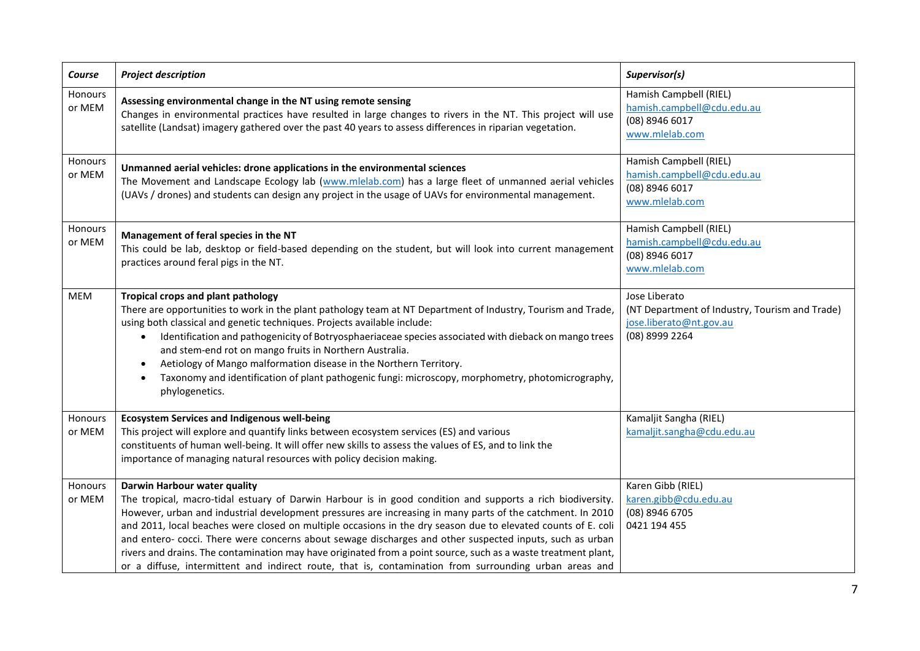| Course            | <b>Project description</b>                                                                                                                                                                                                                                                                                                                                                                                                                                                                                                                                                                                                                                                                                        | Supervisor(s)                                                                                                |
|-------------------|-------------------------------------------------------------------------------------------------------------------------------------------------------------------------------------------------------------------------------------------------------------------------------------------------------------------------------------------------------------------------------------------------------------------------------------------------------------------------------------------------------------------------------------------------------------------------------------------------------------------------------------------------------------------------------------------------------------------|--------------------------------------------------------------------------------------------------------------|
| Honours<br>or MEM | Assessing environmental change in the NT using remote sensing<br>Changes in environmental practices have resulted in large changes to rivers in the NT. This project will use<br>satellite (Landsat) imagery gathered over the past 40 years to assess differences in riparian vegetation.                                                                                                                                                                                                                                                                                                                                                                                                                        | Hamish Campbell (RIEL)<br>hamish.campbell@cdu.edu.au<br>(08) 8946 6017<br>www.mlelab.com                     |
| Honours<br>or MEM | Unmanned aerial vehicles: drone applications in the environmental sciences<br>The Movement and Landscape Ecology lab (www.mlelab.com) has a large fleet of unmanned aerial vehicles<br>(UAVs / drones) and students can design any project in the usage of UAVs for environmental management.                                                                                                                                                                                                                                                                                                                                                                                                                     | Hamish Campbell (RIEL)<br>hamish.campbell@cdu.edu.au<br>(08) 8946 6017<br>www.mlelab.com                     |
| Honours<br>or MEM | Management of feral species in the NT<br>This could be lab, desktop or field-based depending on the student, but will look into current management<br>practices around feral pigs in the NT.                                                                                                                                                                                                                                                                                                                                                                                                                                                                                                                      | Hamish Campbell (RIEL)<br>hamish.campbell@cdu.edu.au<br>(08) 8946 6017<br>www.mlelab.com                     |
| <b>MEM</b>        | Tropical crops and plant pathology<br>There are opportunities to work in the plant pathology team at NT Department of Industry, Tourism and Trade,<br>using both classical and genetic techniques. Projects available include:<br>Identification and pathogenicity of Botryosphaeriaceae species associated with dieback on mango trees<br>$\bullet$<br>and stem-end rot on mango fruits in Northern Australia.<br>Aetiology of Mango malformation disease in the Northern Territory.<br>$\bullet$<br>Taxonomy and identification of plant pathogenic fungi: microscopy, morphometry, photomicrography,<br>phylogenetics.                                                                                         | Jose Liberato<br>(NT Department of Industry, Tourism and Trade)<br>jose.liberato@nt.gov.au<br>(08) 8999 2264 |
| Honours<br>or MEM | <b>Ecosystem Services and Indigenous well-being</b><br>This project will explore and quantify links between ecosystem services (ES) and various<br>constituents of human well-being. It will offer new skills to assess the values of ES, and to link the<br>importance of managing natural resources with policy decision making.                                                                                                                                                                                                                                                                                                                                                                                | Kamaljit Sangha (RIEL)<br>kamaljit.sangha@cdu.edu.au                                                         |
| Honours<br>or MEM | Darwin Harbour water quality<br>The tropical, macro-tidal estuary of Darwin Harbour is in good condition and supports a rich biodiversity.<br>However, urban and industrial development pressures are increasing in many parts of the catchment. In 2010<br>and 2011, local beaches were closed on multiple occasions in the dry season due to elevated counts of E. coli<br>and entero- cocci. There were concerns about sewage discharges and other suspected inputs, such as urban<br>rivers and drains. The contamination may have originated from a point source, such as a waste treatment plant,<br>or a diffuse, intermittent and indirect route, that is, contamination from surrounding urban areas and | Karen Gibb (RIEL)<br>karen.gibb@cdu.edu.au<br>(08) 8946 6705<br>0421 194 455                                 |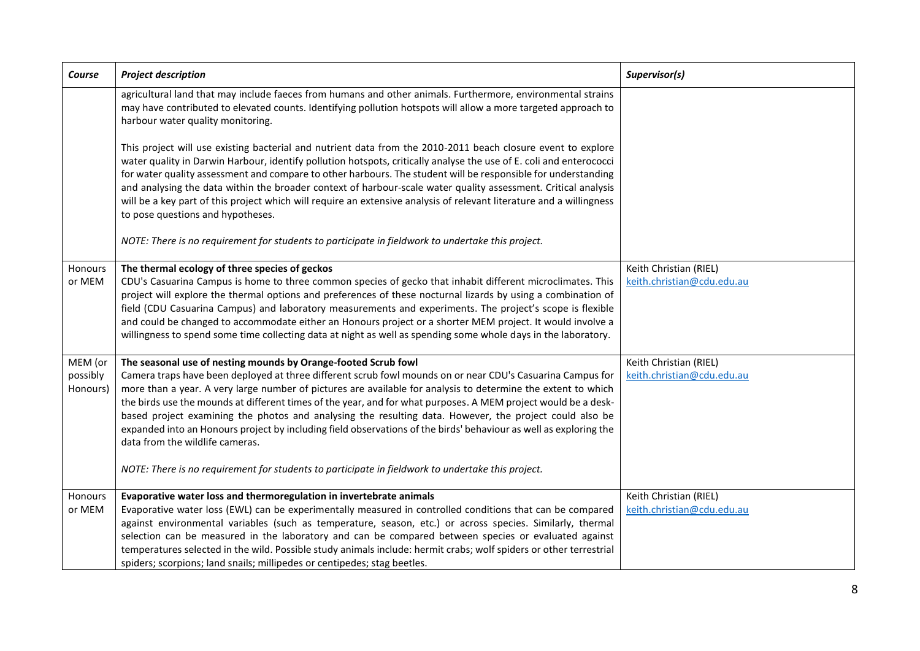| Course                          | <b>Project description</b>                                                                                                                                                                                                                                                                                                                                                                                                                                                                                                                                                                                                                                                                                                                                                              | Supervisor(s)                                        |
|---------------------------------|-----------------------------------------------------------------------------------------------------------------------------------------------------------------------------------------------------------------------------------------------------------------------------------------------------------------------------------------------------------------------------------------------------------------------------------------------------------------------------------------------------------------------------------------------------------------------------------------------------------------------------------------------------------------------------------------------------------------------------------------------------------------------------------------|------------------------------------------------------|
|                                 | agricultural land that may include faeces from humans and other animals. Furthermore, environmental strains<br>may have contributed to elevated counts. Identifying pollution hotspots will allow a more targeted approach to<br>harbour water quality monitoring.                                                                                                                                                                                                                                                                                                                                                                                                                                                                                                                      |                                                      |
|                                 | This project will use existing bacterial and nutrient data from the 2010-2011 beach closure event to explore<br>water quality in Darwin Harbour, identify pollution hotspots, critically analyse the use of E. coli and enterococci<br>for water quality assessment and compare to other harbours. The student will be responsible for understanding<br>and analysing the data within the broader context of harbour-scale water quality assessment. Critical analysis<br>will be a key part of this project which will require an extensive analysis of relevant literature and a willingness<br>to pose questions and hypotheses.                                                                                                                                                     |                                                      |
|                                 | NOTE: There is no requirement for students to participate in fieldwork to undertake this project.                                                                                                                                                                                                                                                                                                                                                                                                                                                                                                                                                                                                                                                                                       |                                                      |
| Honours<br>or MEM               | The thermal ecology of three species of geckos<br>CDU's Casuarina Campus is home to three common species of gecko that inhabit different microclimates. This<br>project will explore the thermal options and preferences of these nocturnal lizards by using a combination of<br>field (CDU Casuarina Campus) and laboratory measurements and experiments. The project's scope is flexible<br>and could be changed to accommodate either an Honours project or a shorter MEM project. It would involve a<br>willingness to spend some time collecting data at night as well as spending some whole days in the laboratory.                                                                                                                                                              | Keith Christian (RIEL)<br>keith.christian@cdu.edu.au |
| MEM (or<br>possibly<br>Honours) | The seasonal use of nesting mounds by Orange-footed Scrub fowl<br>Camera traps have been deployed at three different scrub fowl mounds on or near CDU's Casuarina Campus for<br>more than a year. A very large number of pictures are available for analysis to determine the extent to which<br>the birds use the mounds at different times of the year, and for what purposes. A MEM project would be a desk-<br>based project examining the photos and analysing the resulting data. However, the project could also be<br>expanded into an Honours project by including field observations of the birds' behaviour as well as exploring the<br>data from the wildlife cameras.<br>NOTE: There is no requirement for students to participate in fieldwork to undertake this project. | Keith Christian (RIEL)<br>keith.christian@cdu.edu.au |
| Honours<br>or MEM               | Evaporative water loss and thermoregulation in invertebrate animals<br>Evaporative water loss (EWL) can be experimentally measured in controlled conditions that can be compared<br>against environmental variables (such as temperature, season, etc.) or across species. Similarly, thermal<br>selection can be measured in the laboratory and can be compared between species or evaluated against<br>temperatures selected in the wild. Possible study animals include: hermit crabs; wolf spiders or other terrestrial<br>spiders; scorpions; land snails; millipedes or centipedes; stag beetles.                                                                                                                                                                                 | Keith Christian (RIEL)<br>keith.christian@cdu.edu.au |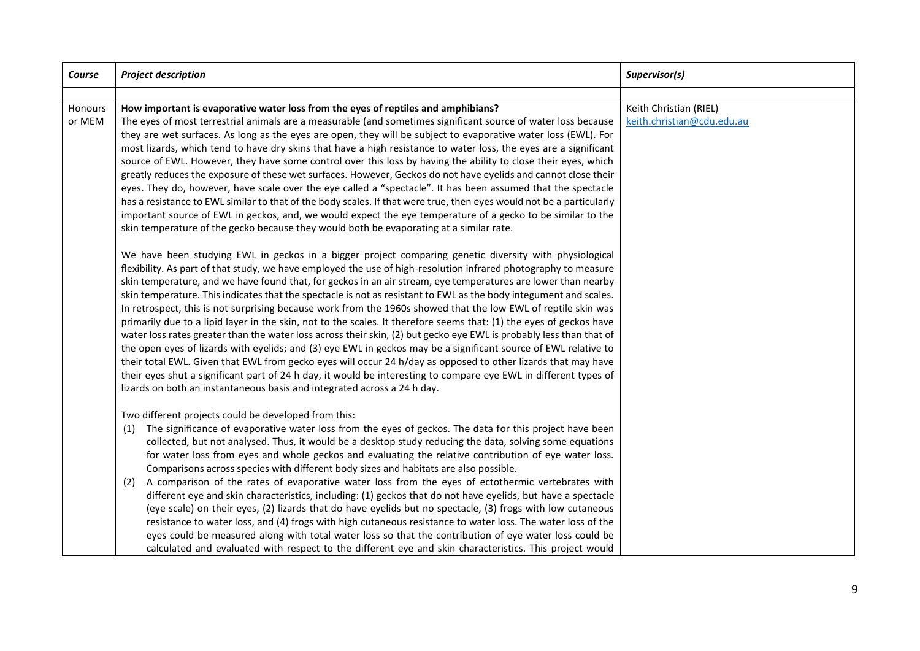| Course            | <b>Project description</b>                                                                                                                                                                                                                                                                                                                                                                                                                                                                                                                                                                                                                                                                                                                                                                                                                                                                                                                                                                                                                                                                                                                                                                                                                                         | Supervisor(s)                                        |
|-------------------|--------------------------------------------------------------------------------------------------------------------------------------------------------------------------------------------------------------------------------------------------------------------------------------------------------------------------------------------------------------------------------------------------------------------------------------------------------------------------------------------------------------------------------------------------------------------------------------------------------------------------------------------------------------------------------------------------------------------------------------------------------------------------------------------------------------------------------------------------------------------------------------------------------------------------------------------------------------------------------------------------------------------------------------------------------------------------------------------------------------------------------------------------------------------------------------------------------------------------------------------------------------------|------------------------------------------------------|
|                   |                                                                                                                                                                                                                                                                                                                                                                                                                                                                                                                                                                                                                                                                                                                                                                                                                                                                                                                                                                                                                                                                                                                                                                                                                                                                    |                                                      |
| Honours<br>or MEM | How important is evaporative water loss from the eyes of reptiles and amphibians?<br>The eyes of most terrestrial animals are a measurable (and sometimes significant source of water loss because<br>they are wet surfaces. As long as the eyes are open, they will be subject to evaporative water loss (EWL). For<br>most lizards, which tend to have dry skins that have a high resistance to water loss, the eyes are a significant<br>source of EWL. However, they have some control over this loss by having the ability to close their eyes, which<br>greatly reduces the exposure of these wet surfaces. However, Geckos do not have eyelids and cannot close their<br>eyes. They do, however, have scale over the eye called a "spectacle". It has been assumed that the spectacle<br>has a resistance to EWL similar to that of the body scales. If that were true, then eyes would not be a particularly<br>important source of EWL in geckos, and, we would expect the eye temperature of a gecko to be similar to the<br>skin temperature of the gecko because they would both be evaporating at a similar rate.                                                                                                                                     | Keith Christian (RIEL)<br>keith.christian@cdu.edu.au |
|                   | We have been studying EWL in geckos in a bigger project comparing genetic diversity with physiological<br>flexibility. As part of that study, we have employed the use of high-resolution infrared photography to measure<br>skin temperature, and we have found that, for geckos in an air stream, eye temperatures are lower than nearby<br>skin temperature. This indicates that the spectacle is not as resistant to EWL as the body integument and scales.<br>In retrospect, this is not surprising because work from the 1960s showed that the low EWL of reptile skin was<br>primarily due to a lipid layer in the skin, not to the scales. It therefore seems that: (1) the eyes of geckos have<br>water loss rates greater than the water loss across their skin, (2) but gecko eye EWL is probably less than that of<br>the open eyes of lizards with eyelids; and (3) eye EWL in geckos may be a significant source of EWL relative to<br>their total EWL. Given that EWL from gecko eyes will occur 24 h/day as opposed to other lizards that may have<br>their eyes shut a significant part of 24 h day, it would be interesting to compare eye EWL in different types of<br>lizards on both an instantaneous basis and integrated across a 24 h day. |                                                      |
|                   | Two different projects could be developed from this:<br>The significance of evaporative water loss from the eyes of geckos. The data for this project have been<br>(1)<br>collected, but not analysed. Thus, it would be a desktop study reducing the data, solving some equations<br>for water loss from eyes and whole geckos and evaluating the relative contribution of eye water loss.<br>Comparisons across species with different body sizes and habitats are also possible.<br>A comparison of the rates of evaporative water loss from the eyes of ectothermic vertebrates with<br>(2)<br>different eye and skin characteristics, including: (1) geckos that do not have eyelids, but have a spectacle<br>(eye scale) on their eyes, (2) lizards that do have eyelids but no spectacle, (3) frogs with low cutaneous<br>resistance to water loss, and (4) frogs with high cutaneous resistance to water loss. The water loss of the<br>eyes could be measured along with total water loss so that the contribution of eye water loss could be<br>calculated and evaluated with respect to the different eye and skin characteristics. This project would                                                                                                  |                                                      |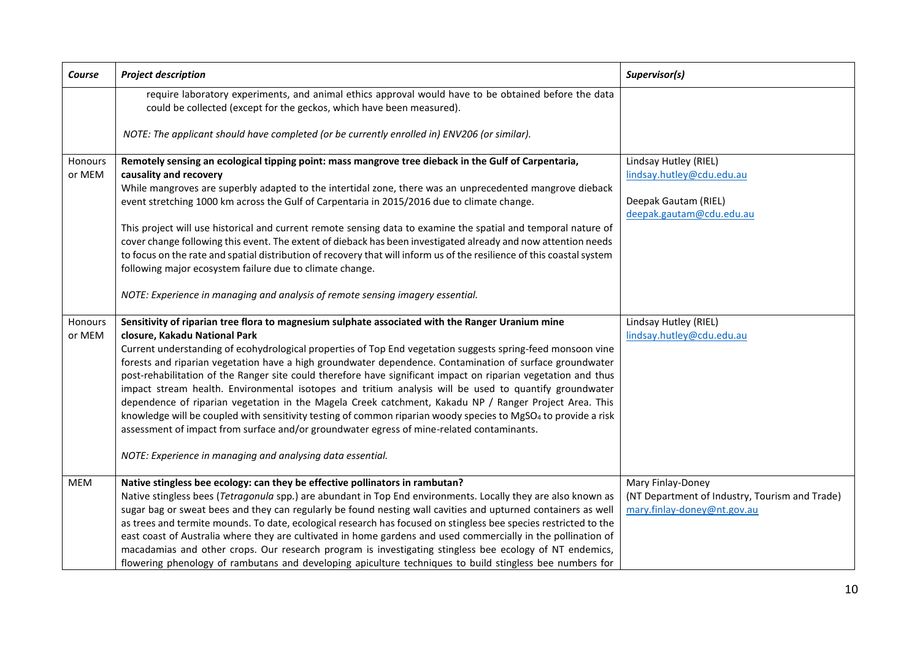| Course            | <b>Project description</b>                                                                                                                                                                                                                                                                                                                                                                                                                                                                                                                                                                                                                                                                                                                                                                                                                                                                                                                                                                  | Supervisor(s)                                                                                          |
|-------------------|---------------------------------------------------------------------------------------------------------------------------------------------------------------------------------------------------------------------------------------------------------------------------------------------------------------------------------------------------------------------------------------------------------------------------------------------------------------------------------------------------------------------------------------------------------------------------------------------------------------------------------------------------------------------------------------------------------------------------------------------------------------------------------------------------------------------------------------------------------------------------------------------------------------------------------------------------------------------------------------------|--------------------------------------------------------------------------------------------------------|
|                   | require laboratory experiments, and animal ethics approval would have to be obtained before the data<br>could be collected (except for the geckos, which have been measured).                                                                                                                                                                                                                                                                                                                                                                                                                                                                                                                                                                                                                                                                                                                                                                                                               |                                                                                                        |
|                   | NOTE: The applicant should have completed (or be currently enrolled in) ENV206 (or similar).                                                                                                                                                                                                                                                                                                                                                                                                                                                                                                                                                                                                                                                                                                                                                                                                                                                                                                |                                                                                                        |
| Honours<br>or MEM | Remotely sensing an ecological tipping point: mass mangrove tree dieback in the Gulf of Carpentaria,<br>causality and recovery<br>While mangroves are superbly adapted to the intertidal zone, there was an unprecedented mangrove dieback<br>event stretching 1000 km across the Gulf of Carpentaria in 2015/2016 due to climate change.<br>This project will use historical and current remote sensing data to examine the spatial and temporal nature of                                                                                                                                                                                                                                                                                                                                                                                                                                                                                                                                 | Lindsay Hutley (RIEL)<br>lindsay.hutley@cdu.edu.au<br>Deepak Gautam (RIEL)<br>deepak.gautam@cdu.edu.au |
|                   | cover change following this event. The extent of dieback has been investigated already and now attention needs<br>to focus on the rate and spatial distribution of recovery that will inform us of the resilience of this coastal system<br>following major ecosystem failure due to climate change.<br>NOTE: Experience in managing and analysis of remote sensing imagery essential.                                                                                                                                                                                                                                                                                                                                                                                                                                                                                                                                                                                                      |                                                                                                        |
|                   |                                                                                                                                                                                                                                                                                                                                                                                                                                                                                                                                                                                                                                                                                                                                                                                                                                                                                                                                                                                             |                                                                                                        |
| Honours<br>or MEM | Sensitivity of riparian tree flora to magnesium sulphate associated with the Ranger Uranium mine<br>closure, Kakadu National Park<br>Current understanding of ecohydrological properties of Top End vegetation suggests spring-feed monsoon vine<br>forests and riparian vegetation have a high groundwater dependence. Contamination of surface groundwater<br>post-rehabilitation of the Ranger site could therefore have significant impact on riparian vegetation and thus<br>impact stream health. Environmental isotopes and tritium analysis will be used to quantify groundwater<br>dependence of riparian vegetation in the Magela Creek catchment, Kakadu NP / Ranger Project Area. This<br>knowledge will be coupled with sensitivity testing of common riparian woody species to MgSO <sub>4</sub> to provide a risk<br>assessment of impact from surface and/or groundwater egress of mine-related contaminants.<br>NOTE: Experience in managing and analysing data essential. | Lindsay Hutley (RIEL)<br>lindsay.hutley@cdu.edu.au                                                     |
| <b>MEM</b>        | Native stingless bee ecology: can they be effective pollinators in rambutan?<br>Native stingless bees (Tetragonula spp.) are abundant in Top End environments. Locally they are also known as<br>sugar bag or sweat bees and they can regularly be found nesting wall cavities and upturned containers as well<br>as trees and termite mounds. To date, ecological research has focused on stingless bee species restricted to the<br>east coast of Australia where they are cultivated in home gardens and used commercially in the pollination of<br>macadamias and other crops. Our research program is investigating stingless bee ecology of NT endemics,<br>flowering phenology of rambutans and developing apiculture techniques to build stingless bee numbers for                                                                                                                                                                                                                  | Mary Finlay-Doney<br>(NT Department of Industry, Tourism and Trade)<br>mary.finlay-doney@nt.gov.au     |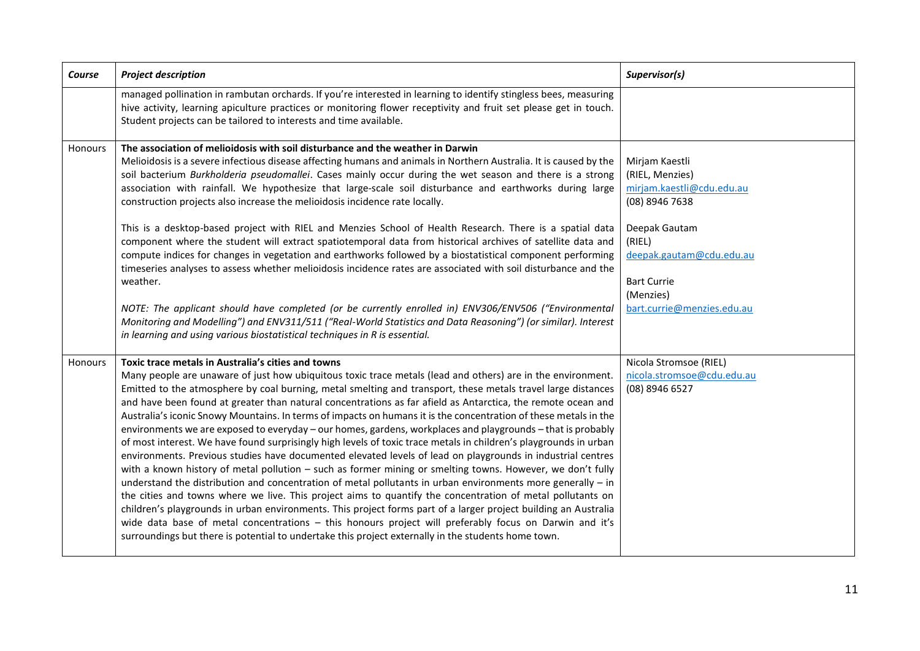| Course  | <b>Project description</b>                                                                                                                                                                                                                                                                                                                                                                                                                                                                                                                                                                                                                                                                                                                                                                                                                                                                                                                                                                                                                                                                                                                                                                                                                                                                                                                                                                                                                                                                                                                                | Supervisor(s)                                                                                                                                                                                            |
|---------|-----------------------------------------------------------------------------------------------------------------------------------------------------------------------------------------------------------------------------------------------------------------------------------------------------------------------------------------------------------------------------------------------------------------------------------------------------------------------------------------------------------------------------------------------------------------------------------------------------------------------------------------------------------------------------------------------------------------------------------------------------------------------------------------------------------------------------------------------------------------------------------------------------------------------------------------------------------------------------------------------------------------------------------------------------------------------------------------------------------------------------------------------------------------------------------------------------------------------------------------------------------------------------------------------------------------------------------------------------------------------------------------------------------------------------------------------------------------------------------------------------------------------------------------------------------|----------------------------------------------------------------------------------------------------------------------------------------------------------------------------------------------------------|
|         | managed pollination in rambutan orchards. If you're interested in learning to identify stingless bees, measuring<br>hive activity, learning apiculture practices or monitoring flower receptivity and fruit set please get in touch.<br>Student projects can be tailored to interests and time available.                                                                                                                                                                                                                                                                                                                                                                                                                                                                                                                                                                                                                                                                                                                                                                                                                                                                                                                                                                                                                                                                                                                                                                                                                                                 |                                                                                                                                                                                                          |
| Honours | The association of melioidosis with soil disturbance and the weather in Darwin<br>Melioidosis is a severe infectious disease affecting humans and animals in Northern Australia. It is caused by the<br>soil bacterium Burkholderia pseudomallei. Cases mainly occur during the wet season and there is a strong<br>association with rainfall. We hypothesize that large-scale soil disturbance and earthworks during large<br>construction projects also increase the melioidosis incidence rate locally.<br>This is a desktop-based project with RIEL and Menzies School of Health Research. There is a spatial data<br>component where the student will extract spatiotemporal data from historical archives of satellite data and<br>compute indices for changes in vegetation and earthworks followed by a biostatistical component performing<br>timeseries analyses to assess whether melioidosis incidence rates are associated with soil disturbance and the<br>weather.<br>NOTE: The applicant should have completed (or be currently enrolled in) ENV306/ENV506 ("Environmental<br>Monitoring and Modelling") and ENV311/511 ("Real-World Statistics and Data Reasoning") (or similar). Interest<br>in learning and using various biostatistical techniques in R is essential.                                                                                                                                                                                                                                                                 | Mirjam Kaestli<br>(RIEL, Menzies)<br>mirjam.kaestli@cdu.edu.au<br>(08) 8946 7638<br>Deepak Gautam<br>(RIEL)<br>deepak.gautam@cdu.edu.au<br><b>Bart Currie</b><br>(Menzies)<br>bart.currie@menzies.edu.au |
| Honours | Toxic trace metals in Australia's cities and towns<br>Many people are unaware of just how ubiquitous toxic trace metals (lead and others) are in the environment.<br>Emitted to the atmosphere by coal burning, metal smelting and transport, these metals travel large distances<br>and have been found at greater than natural concentrations as far afield as Antarctica, the remote ocean and<br>Australia's iconic Snowy Mountains. In terms of impacts on humans it is the concentration of these metals in the<br>environments we are exposed to everyday - our homes, gardens, workplaces and playgrounds - that is probably<br>of most interest. We have found surprisingly high levels of toxic trace metals in children's playgrounds in urban<br>environments. Previous studies have documented elevated levels of lead on playgrounds in industrial centres<br>with a known history of metal pollution - such as former mining or smelting towns. However, we don't fully<br>understand the distribution and concentration of metal pollutants in urban environments more generally $-$ in<br>the cities and towns where we live. This project aims to quantify the concentration of metal pollutants on<br>children's playgrounds in urban environments. This project forms part of a larger project building an Australia<br>wide data base of metal concentrations - this honours project will preferably focus on Darwin and it's<br>surroundings but there is potential to undertake this project externally in the students home town. | Nicola Stromsoe (RIEL)<br>nicola.stromsoe@cdu.edu.au<br>(08) 8946 6527                                                                                                                                   |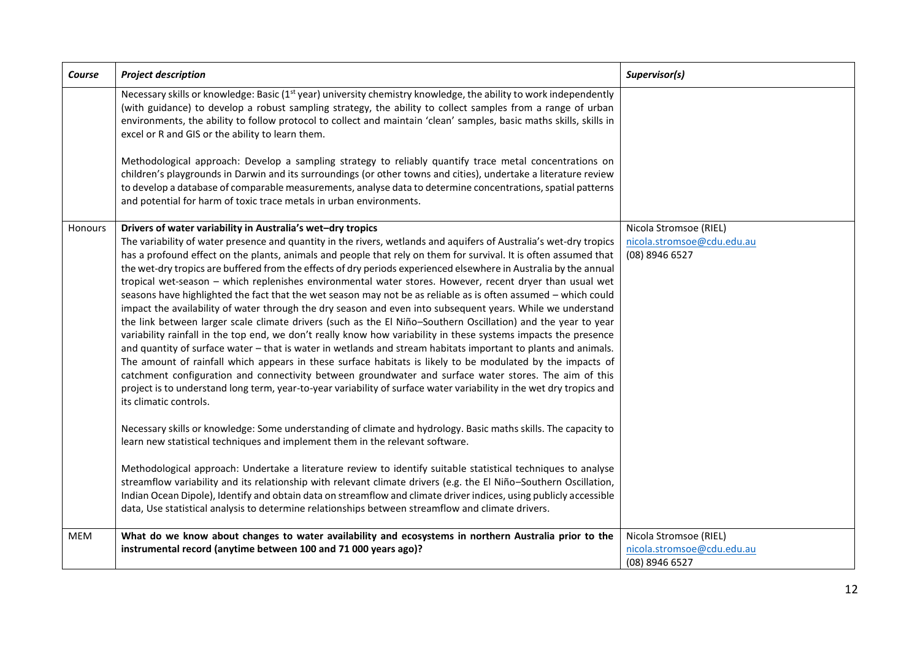| Course     | <b>Project description</b>                                                                                                                                                                                                                                                                                                                                                                                                                                                                                                                                                                                                                                                                                                                                                                                                                                                                                                                                                                                                                                                                                                                                                                                                                                                                                                                                                                                                                                                                                                                                                                                                                                                                                                                                                                                                                                                                                                                                                                                                                                                                                                                                                   | Supervisor(s)                                                          |
|------------|------------------------------------------------------------------------------------------------------------------------------------------------------------------------------------------------------------------------------------------------------------------------------------------------------------------------------------------------------------------------------------------------------------------------------------------------------------------------------------------------------------------------------------------------------------------------------------------------------------------------------------------------------------------------------------------------------------------------------------------------------------------------------------------------------------------------------------------------------------------------------------------------------------------------------------------------------------------------------------------------------------------------------------------------------------------------------------------------------------------------------------------------------------------------------------------------------------------------------------------------------------------------------------------------------------------------------------------------------------------------------------------------------------------------------------------------------------------------------------------------------------------------------------------------------------------------------------------------------------------------------------------------------------------------------------------------------------------------------------------------------------------------------------------------------------------------------------------------------------------------------------------------------------------------------------------------------------------------------------------------------------------------------------------------------------------------------------------------------------------------------------------------------------------------------|------------------------------------------------------------------------|
|            | Necessary skills or knowledge: Basic (1 <sup>st</sup> year) university chemistry knowledge, the ability to work independently<br>(with guidance) to develop a robust sampling strategy, the ability to collect samples from a range of urban<br>environments, the ability to follow protocol to collect and maintain 'clean' samples, basic maths skills, skills in<br>excel or R and GIS or the ability to learn them.<br>Methodological approach: Develop a sampling strategy to reliably quantify trace metal concentrations on<br>children's playgrounds in Darwin and its surroundings (or other towns and cities), undertake a literature review<br>to develop a database of comparable measurements, analyse data to determine concentrations, spatial patterns<br>and potential for harm of toxic trace metals in urban environments.                                                                                                                                                                                                                                                                                                                                                                                                                                                                                                                                                                                                                                                                                                                                                                                                                                                                                                                                                                                                                                                                                                                                                                                                                                                                                                                                |                                                                        |
| Honours    | Drivers of water variability in Australia's wet-dry tropics<br>The variability of water presence and quantity in the rivers, wetlands and aquifers of Australia's wet-dry tropics<br>has a profound effect on the plants, animals and people that rely on them for survival. It is often assumed that<br>the wet-dry tropics are buffered from the effects of dry periods experienced elsewhere in Australia by the annual<br>tropical wet-season - which replenishes environmental water stores. However, recent dryer than usual wet<br>seasons have highlighted the fact that the wet season may not be as reliable as is often assumed - which could<br>impact the availability of water through the dry season and even into subsequent years. While we understand<br>the link between larger scale climate drivers (such as the El Niño-Southern Oscillation) and the year to year<br>variability rainfall in the top end, we don't really know how variability in these systems impacts the presence<br>and quantity of surface water - that is water in wetlands and stream habitats important to plants and animals.<br>The amount of rainfall which appears in these surface habitats is likely to be modulated by the impacts of<br>catchment configuration and connectivity between groundwater and surface water stores. The aim of this<br>project is to understand long term, year-to-year variability of surface water variability in the wet dry tropics and<br>its climatic controls.<br>Necessary skills or knowledge: Some understanding of climate and hydrology. Basic maths skills. The capacity to<br>learn new statistical techniques and implement them in the relevant software.<br>Methodological approach: Undertake a literature review to identify suitable statistical techniques to analyse<br>streamflow variability and its relationship with relevant climate drivers (e.g. the El Niño-Southern Oscillation,<br>Indian Ocean Dipole), Identify and obtain data on streamflow and climate driver indices, using publicly accessible<br>data, Use statistical analysis to determine relationships between streamflow and climate drivers. | Nicola Stromsoe (RIEL)<br>nicola.stromsoe@cdu.edu.au<br>(08) 8946 6527 |
| <b>MEM</b> | What do we know about changes to water availability and ecosystems in northern Australia prior to the<br>instrumental record (anytime between 100 and 71 000 years ago)?                                                                                                                                                                                                                                                                                                                                                                                                                                                                                                                                                                                                                                                                                                                                                                                                                                                                                                                                                                                                                                                                                                                                                                                                                                                                                                                                                                                                                                                                                                                                                                                                                                                                                                                                                                                                                                                                                                                                                                                                     | Nicola Stromsoe (RIEL)<br>nicola.stromsoe@cdu.edu.au<br>(08) 8946 6527 |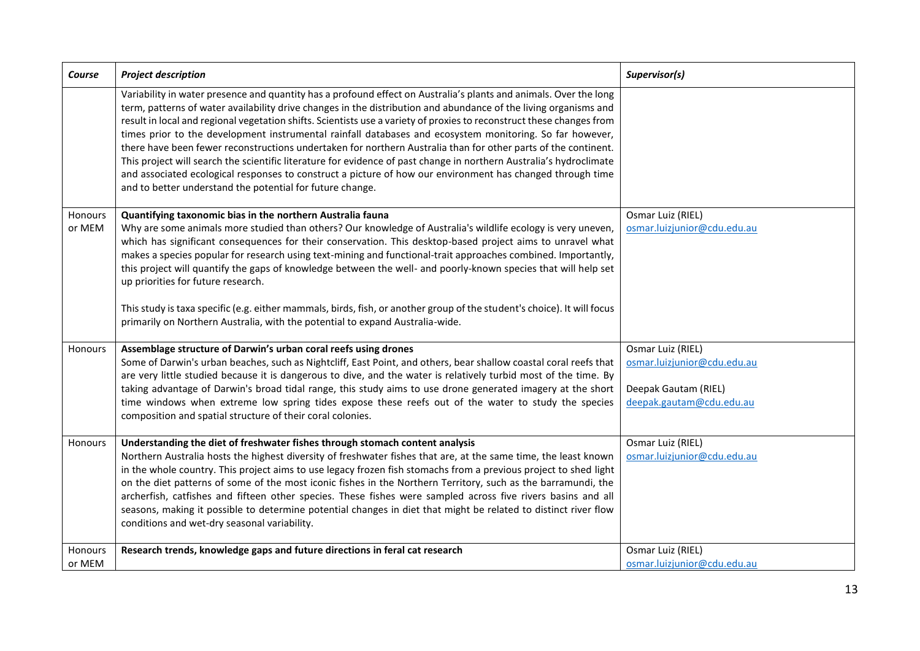| Course            | <b>Project description</b>                                                                                                                                                                                                                                                                                                                                                                                                                                                                                                                                                                                                                                                                                                                                                                                                                                                                     | Supervisor(s)                                                                                        |
|-------------------|------------------------------------------------------------------------------------------------------------------------------------------------------------------------------------------------------------------------------------------------------------------------------------------------------------------------------------------------------------------------------------------------------------------------------------------------------------------------------------------------------------------------------------------------------------------------------------------------------------------------------------------------------------------------------------------------------------------------------------------------------------------------------------------------------------------------------------------------------------------------------------------------|------------------------------------------------------------------------------------------------------|
|                   | Variability in water presence and quantity has a profound effect on Australia's plants and animals. Over the long<br>term, patterns of water availability drive changes in the distribution and abundance of the living organisms and<br>result in local and regional vegetation shifts. Scientists use a variety of proxies to reconstruct these changes from<br>times prior to the development instrumental rainfall databases and ecosystem monitoring. So far however,<br>there have been fewer reconstructions undertaken for northern Australia than for other parts of the continent.<br>This project will search the scientific literature for evidence of past change in northern Australia's hydroclimate<br>and associated ecological responses to construct a picture of how our environment has changed through time<br>and to better understand the potential for future change. |                                                                                                      |
| Honours<br>or MEM | Quantifying taxonomic bias in the northern Australia fauna<br>Why are some animals more studied than others? Our knowledge of Australia's wildlife ecology is very uneven,<br>which has significant consequences for their conservation. This desktop-based project aims to unravel what<br>makes a species popular for research using text-mining and functional-trait approaches combined. Importantly,<br>this project will quantify the gaps of knowledge between the well- and poorly-known species that will help set<br>up priorities for future research.<br>This study is taxa specific (e.g. either mammals, birds, fish, or another group of the student's choice). It will focus<br>primarily on Northern Australia, with the potential to expand Australia-wide.                                                                                                                  | Osmar Luiz (RIEL)<br>osmar.luizjunior@cdu.edu.au                                                     |
| Honours           | Assemblage structure of Darwin's urban coral reefs using drones<br>Some of Darwin's urban beaches, such as Nightcliff, East Point, and others, bear shallow coastal coral reefs that<br>are very little studied because it is dangerous to dive, and the water is relatively turbid most of the time. By<br>taking advantage of Darwin's broad tidal range, this study aims to use drone generated imagery at the short<br>time windows when extreme low spring tides expose these reefs out of the water to study the species<br>composition and spatial structure of their coral colonies.                                                                                                                                                                                                                                                                                                   | Osmar Luiz (RIEL)<br>osmar.luizjunior@cdu.edu.au<br>Deepak Gautam (RIEL)<br>deepak.gautam@cdu.edu.au |
| Honours           | Understanding the diet of freshwater fishes through stomach content analysis<br>Northern Australia hosts the highest diversity of freshwater fishes that are, at the same time, the least known<br>in the whole country. This project aims to use legacy frozen fish stomachs from a previous project to shed light<br>on the diet patterns of some of the most iconic fishes in the Northern Territory, such as the barramundi, the<br>archerfish, catfishes and fifteen other species. These fishes were sampled across five rivers basins and all<br>seasons, making it possible to determine potential changes in diet that might be related to distinct river flow<br>conditions and wet-dry seasonal variability.                                                                                                                                                                        | Osmar Luiz (RIEL)<br>osmar.luizjunior@cdu.edu.au                                                     |
| Honours<br>or MEM | Research trends, knowledge gaps and future directions in feral cat research                                                                                                                                                                                                                                                                                                                                                                                                                                                                                                                                                                                                                                                                                                                                                                                                                    | Osmar Luiz (RIEL)<br>osmar.luizjunior@cdu.edu.au                                                     |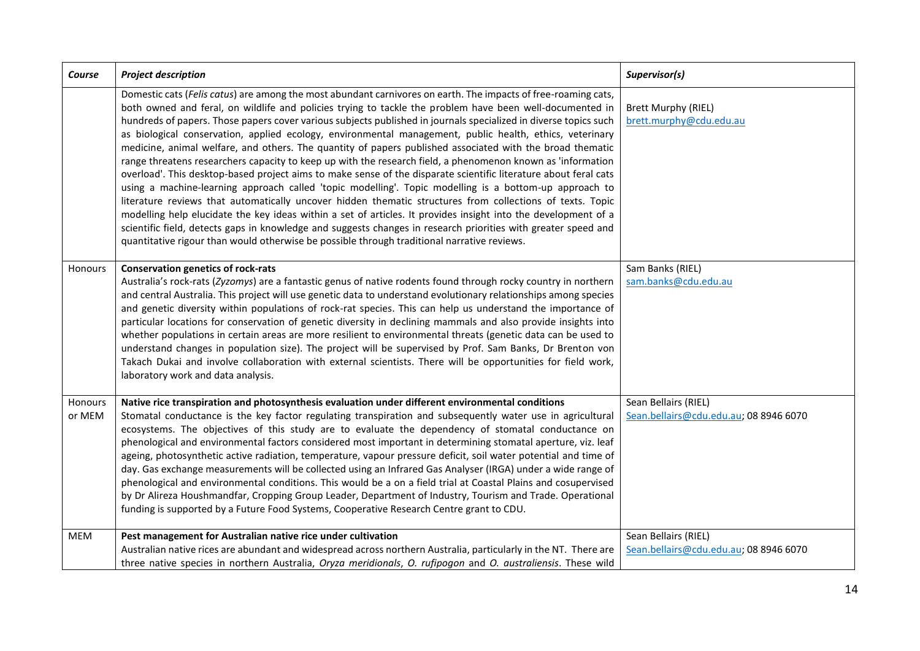| Course            | <b>Project description</b>                                                                                                                                                                                                                                                                                                                                                                                                                                                                                                                                                                                                                                                                                                                                                                                                                                                                                                                                                                                                                                                                                                                                                                                                                                                                                                                                           | Supervisor(s)                                                  |
|-------------------|----------------------------------------------------------------------------------------------------------------------------------------------------------------------------------------------------------------------------------------------------------------------------------------------------------------------------------------------------------------------------------------------------------------------------------------------------------------------------------------------------------------------------------------------------------------------------------------------------------------------------------------------------------------------------------------------------------------------------------------------------------------------------------------------------------------------------------------------------------------------------------------------------------------------------------------------------------------------------------------------------------------------------------------------------------------------------------------------------------------------------------------------------------------------------------------------------------------------------------------------------------------------------------------------------------------------------------------------------------------------|----------------------------------------------------------------|
|                   | Domestic cats (Felis catus) are among the most abundant carnivores on earth. The impacts of free-roaming cats,<br>both owned and feral, on wildlife and policies trying to tackle the problem have been well-documented in<br>hundreds of papers. Those papers cover various subjects published in journals specialized in diverse topics such<br>as biological conservation, applied ecology, environmental management, public health, ethics, veterinary<br>medicine, animal welfare, and others. The quantity of papers published associated with the broad thematic<br>range threatens researchers capacity to keep up with the research field, a phenomenon known as 'information<br>overload'. This desktop-based project aims to make sense of the disparate scientific literature about feral cats<br>using a machine-learning approach called 'topic modelling'. Topic modelling is a bottom-up approach to<br>literature reviews that automatically uncover hidden thematic structures from collections of texts. Topic<br>modelling help elucidate the key ideas within a set of articles. It provides insight into the development of a<br>scientific field, detects gaps in knowledge and suggests changes in research priorities with greater speed and<br>quantitative rigour than would otherwise be possible through traditional narrative reviews. | <b>Brett Murphy (RIEL)</b><br>brett.murphy@cdu.edu.au          |
| Honours           | <b>Conservation genetics of rock-rats</b><br>Australia's rock-rats (Zyzomys) are a fantastic genus of native rodents found through rocky country in northern<br>and central Australia. This project will use genetic data to understand evolutionary relationships among species<br>and genetic diversity within populations of rock-rat species. This can help us understand the importance of<br>particular locations for conservation of genetic diversity in declining mammals and also provide insights into<br>whether populations in certain areas are more resilient to environmental threats (genetic data can be used to<br>understand changes in population size). The project will be supervised by Prof. Sam Banks, Dr Brenton von<br>Takach Dukai and involve collaboration with external scientists. There will be opportunities for field work,<br>laboratory work and data analysis.                                                                                                                                                                                                                                                                                                                                                                                                                                                                | Sam Banks (RIEL)<br>sam.banks@cdu.edu.au                       |
| Honours<br>or MEM | Native rice transpiration and photosynthesis evaluation under different environmental conditions<br>Stomatal conductance is the key factor regulating transpiration and subsequently water use in agricultural<br>ecosystems. The objectives of this study are to evaluate the dependency of stomatal conductance on<br>phenological and environmental factors considered most important in determining stomatal aperture, viz. leaf<br>ageing, photosynthetic active radiation, temperature, vapour pressure deficit, soil water potential and time of<br>day. Gas exchange measurements will be collected using an Infrared Gas Analyser (IRGA) under a wide range of<br>phenological and environmental conditions. This would be a on a field trial at Coastal Plains and cosupervised<br>by Dr Alireza Houshmandfar, Cropping Group Leader, Department of Industry, Tourism and Trade. Operational<br>funding is supported by a Future Food Systems, Cooperative Research Centre grant to CDU.                                                                                                                                                                                                                                                                                                                                                                   | Sean Bellairs (RIEL)<br>Sean.bellairs@cdu.edu.au; 08 8946 6070 |
| MEM               | Pest management for Australian native rice under cultivation<br>Australian native rices are abundant and widespread across northern Australia, particularly in the NT. There are<br>three native species in northern Australia, Oryza meridionals, O. rufipogon and O. australiensis. These wild                                                                                                                                                                                                                                                                                                                                                                                                                                                                                                                                                                                                                                                                                                                                                                                                                                                                                                                                                                                                                                                                     | Sean Bellairs (RIEL)<br>Sean.bellairs@cdu.edu.au; 08 8946 6070 |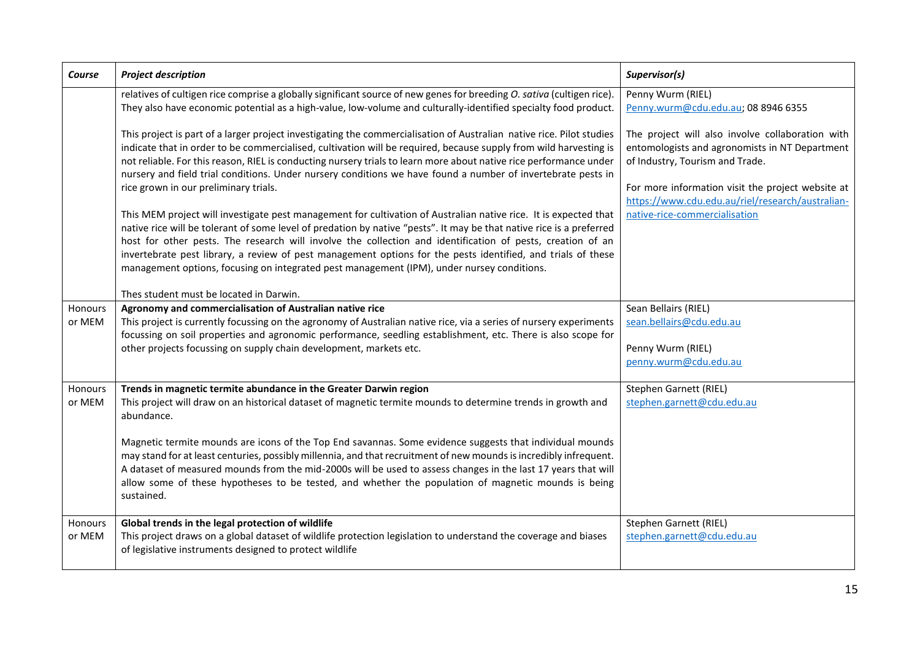| Course            | <b>Project description</b>                                                                                                                                                                                                                                                                                                                                                                                                                                                                                                                                                                                                                                                                                                                                                                                                                                                                                                                                                                                                                                                                        | Supervisor(s)                                                                                                                                                                                                                                                                   |
|-------------------|---------------------------------------------------------------------------------------------------------------------------------------------------------------------------------------------------------------------------------------------------------------------------------------------------------------------------------------------------------------------------------------------------------------------------------------------------------------------------------------------------------------------------------------------------------------------------------------------------------------------------------------------------------------------------------------------------------------------------------------------------------------------------------------------------------------------------------------------------------------------------------------------------------------------------------------------------------------------------------------------------------------------------------------------------------------------------------------------------|---------------------------------------------------------------------------------------------------------------------------------------------------------------------------------------------------------------------------------------------------------------------------------|
|                   | relatives of cultigen rice comprise a globally significant source of new genes for breeding O. sativa (cultigen rice).<br>They also have economic potential as a high-value, low-volume and culturally-identified specialty food product.                                                                                                                                                                                                                                                                                                                                                                                                                                                                                                                                                                                                                                                                                                                                                                                                                                                         | Penny Wurm (RIEL)<br>Penny.wurm@cdu.edu.au; 08 8946 6355                                                                                                                                                                                                                        |
|                   | This project is part of a larger project investigating the commercialisation of Australian native rice. Pilot studies<br>indicate that in order to be commercialised, cultivation will be required, because supply from wild harvesting is<br>not reliable. For this reason, RIEL is conducting nursery trials to learn more about native rice performance under<br>nursery and field trial conditions. Under nursery conditions we have found a number of invertebrate pests in<br>rice grown in our preliminary trials.<br>This MEM project will investigate pest management for cultivation of Australian native rice. It is expected that<br>native rice will be tolerant of some level of predation by native "pests". It may be that native rice is a preferred<br>host for other pests. The research will involve the collection and identification of pests, creation of an<br>invertebrate pest library, a review of pest management options for the pests identified, and trials of these<br>management options, focusing on integrated pest management (IPM), under nursey conditions. | The project will also involve collaboration with<br>entomologists and agronomists in NT Department<br>of Industry, Tourism and Trade.<br>For more information visit the project website at<br>https://www.cdu.edu.au/riel/research/australian-<br>native-rice-commercialisation |
|                   | Thes student must be located in Darwin.                                                                                                                                                                                                                                                                                                                                                                                                                                                                                                                                                                                                                                                                                                                                                                                                                                                                                                                                                                                                                                                           |                                                                                                                                                                                                                                                                                 |
| Honours<br>or MEM | Agronomy and commercialisation of Australian native rice<br>This project is currently focussing on the agronomy of Australian native rice, via a series of nursery experiments<br>focussing on soil properties and agronomic performance, seedling establishment, etc. There is also scope for<br>other projects focussing on supply chain development, markets etc.                                                                                                                                                                                                                                                                                                                                                                                                                                                                                                                                                                                                                                                                                                                              | Sean Bellairs (RIEL)<br>sean.bellairs@cdu.edu.au<br>Penny Wurm (RIEL)<br>penny.wurm@cdu.edu.au                                                                                                                                                                                  |
| Honours<br>or MEM | Trends in magnetic termite abundance in the Greater Darwin region<br>This project will draw on an historical dataset of magnetic termite mounds to determine trends in growth and<br>abundance.<br>Magnetic termite mounds are icons of the Top End savannas. Some evidence suggests that individual mounds<br>may stand for at least centuries, possibly millennia, and that recruitment of new mounds is incredibly infrequent.<br>A dataset of measured mounds from the mid-2000s will be used to assess changes in the last 17 years that will<br>allow some of these hypotheses to be tested, and whether the population of magnetic mounds is being<br>sustained.                                                                                                                                                                                                                                                                                                                                                                                                                           | Stephen Garnett (RIEL)<br>stephen.garnett@cdu.edu.au                                                                                                                                                                                                                            |
| Honours<br>or MEM | Global trends in the legal protection of wildlife<br>This project draws on a global dataset of wildlife protection legislation to understand the coverage and biases<br>of legislative instruments designed to protect wildlife                                                                                                                                                                                                                                                                                                                                                                                                                                                                                                                                                                                                                                                                                                                                                                                                                                                                   | Stephen Garnett (RIEL)<br>stephen.garnett@cdu.edu.au                                                                                                                                                                                                                            |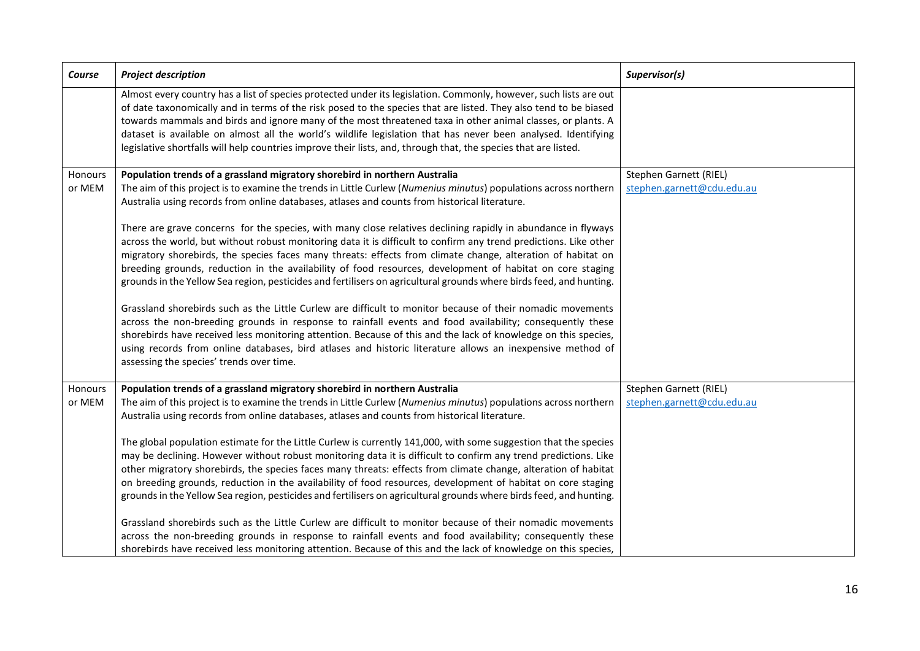| Course            | <b>Project description</b>                                                                                                                                                                                                                                                                                                                                                                                                                                                                                                                                                                                                                                                                                                                                                                                                                                                                                                                                                                                                                                                                                                                                                                                                                                                                                                                                                                    | Supervisor(s)                                        |
|-------------------|-----------------------------------------------------------------------------------------------------------------------------------------------------------------------------------------------------------------------------------------------------------------------------------------------------------------------------------------------------------------------------------------------------------------------------------------------------------------------------------------------------------------------------------------------------------------------------------------------------------------------------------------------------------------------------------------------------------------------------------------------------------------------------------------------------------------------------------------------------------------------------------------------------------------------------------------------------------------------------------------------------------------------------------------------------------------------------------------------------------------------------------------------------------------------------------------------------------------------------------------------------------------------------------------------------------------------------------------------------------------------------------------------|------------------------------------------------------|
|                   | Almost every country has a list of species protected under its legislation. Commonly, however, such lists are out<br>of date taxonomically and in terms of the risk posed to the species that are listed. They also tend to be biased<br>towards mammals and birds and ignore many of the most threatened taxa in other animal classes, or plants. A<br>dataset is available on almost all the world's wildlife legislation that has never been analysed. Identifying<br>legislative shortfalls will help countries improve their lists, and, through that, the species that are listed.                                                                                                                                                                                                                                                                                                                                                                                                                                                                                                                                                                                                                                                                                                                                                                                                      |                                                      |
| Honours<br>or MEM | Population trends of a grassland migratory shorebird in northern Australia<br>The aim of this project is to examine the trends in Little Curlew (Numenius minutus) populations across northern<br>Australia using records from online databases, atlases and counts from historical literature.<br>There are grave concerns for the species, with many close relatives declining rapidly in abundance in flyways<br>across the world, but without robust monitoring data it is difficult to confirm any trend predictions. Like other<br>migratory shorebirds, the species faces many threats: effects from climate change, alteration of habitat on<br>breeding grounds, reduction in the availability of food resources, development of habitat on core staging<br>grounds in the Yellow Sea region, pesticides and fertilisers on agricultural grounds where birds feed, and hunting.<br>Grassland shorebirds such as the Little Curlew are difficult to monitor because of their nomadic movements<br>across the non-breeding grounds in response to rainfall events and food availability; consequently these<br>shorebirds have received less monitoring attention. Because of this and the lack of knowledge on this species,<br>using records from online databases, bird atlases and historic literature allows an inexpensive method of<br>assessing the species' trends over time. | Stephen Garnett (RIEL)<br>stephen.garnett@cdu.edu.au |
| Honours<br>or MEM | Population trends of a grassland migratory shorebird in northern Australia<br>The aim of this project is to examine the trends in Little Curlew (Numenius minutus) populations across northern<br>Australia using records from online databases, atlases and counts from historical literature.<br>The global population estimate for the Little Curlew is currently 141,000, with some suggestion that the species<br>may be declining. However without robust monitoring data it is difficult to confirm any trend predictions. Like<br>other migratory shorebirds, the species faces many threats: effects from climate change, alteration of habitat<br>on breeding grounds, reduction in the availability of food resources, development of habitat on core staging<br>grounds in the Yellow Sea region, pesticides and fertilisers on agricultural grounds where birds feed, and hunting.<br>Grassland shorebirds such as the Little Curlew are difficult to monitor because of their nomadic movements<br>across the non-breeding grounds in response to rainfall events and food availability; consequently these<br>shorebirds have received less monitoring attention. Because of this and the lack of knowledge on this species,                                                                                                                                                   | Stephen Garnett (RIEL)<br>stephen.garnett@cdu.edu.au |